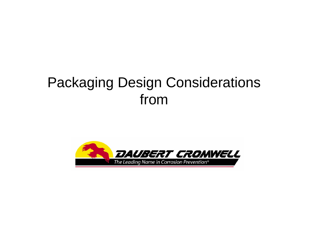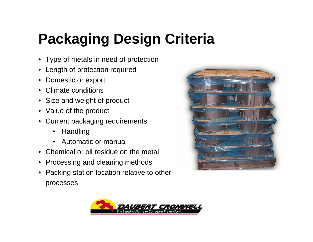# **Packaging Design Criteria**

- Type of metals in need of protection
- Length of protection required
- Domestic or export
- Climate conditions
- Size and weight of product
- Value of the product
- Current packaging requirements
	- $\bullet$ **Handling**
	- Automatic or manual
- Chemical or oil residue on the metal
- Processing and cleaning methods
- Packing station location relative to other processes



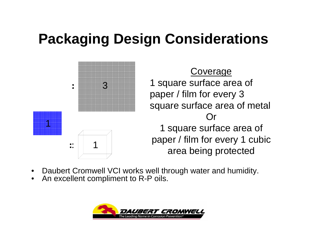

**Coverage** 1 square surface area of paper / film for every 3 square surface area of metal Or 1 square surface area of paper / film for every 1 cubic :  $\begin{array}{c} \begin{array}{c} \begin{array}{c} \end{array} \\ \begin{array}{c} \end{array} \end{array}$  area being protected

- •Daubert Cromwell VCI works well through water and humidity.
- •An excellent compliment to R-P oils.

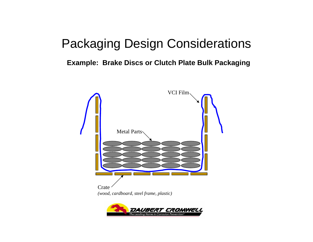#### **Example: Brake Discs or Clutch Plate Bulk Packaging**

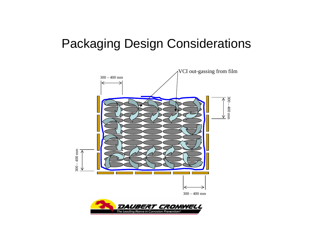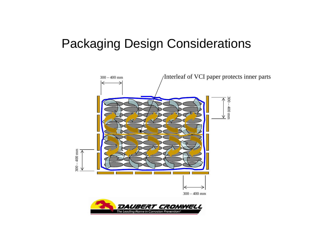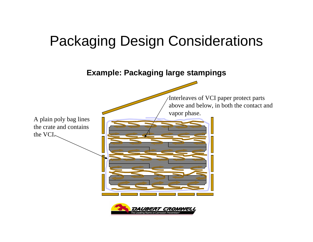**Example: Packaging large stampings**



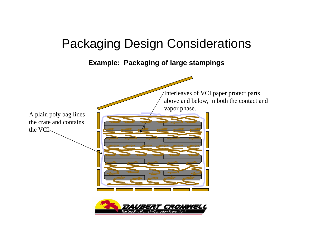**Example: Packaging of large stampings**

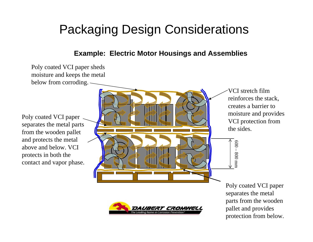#### **Example: Electric Motor Housings and Assemblies**

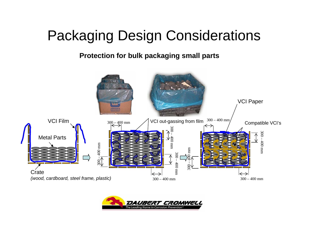**Protection for bulk packaging small parts**



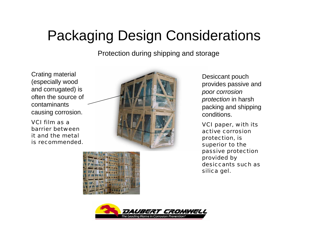Protection during shipping and storage

Crating material (especially wood and corrugated) is often the source of contaminants causing corrosion.

VCI film as a barrier between it and the metal is recommended.



Desiccant pouch provides passive and *poor corrosion protection* in harsh packing and shipping conditions.

VCI paper, with its active corrosion protection, is superior to the passive protection provided by desiccants such as silica gel.



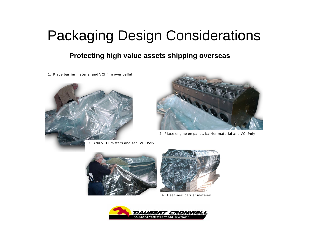#### **Protecting high value assets shipping overseas**

1. Place barrier material and VCI film over pallet





2. Place engine on pallet, barrier material and VCI Poly





4. Heat seal barrier material

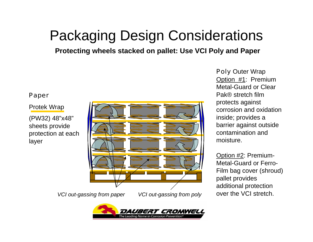**Protecting wheels stacked on pallet: Use VCI Poly and Paper**

#### Paper

#### Protek Wrap

(PW32) 48"x48" sheets provide protection at each layer



*VCI out-gassing from paper*

*VCI out-gassing from poly*



Poly Outer Wrap Option #1: Premium Metal-Guard or Clear Pak® stretch film protects against corrosion and oxidation inside; provides a barrier against outside contamination and moisture.

Option #2: Premium-Metal-Guard or Ferro-Film bag cover (shroud) pallet provides additional protection over the VCI stretch.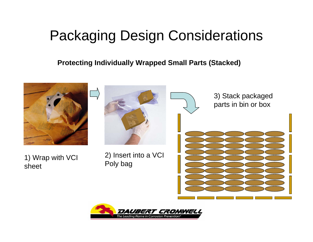#### **Protecting Individually Wrapped Small Parts (Stacked)**

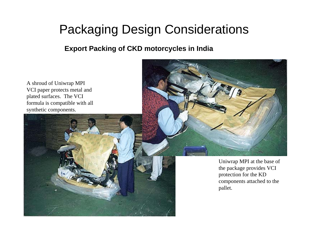**Export Packing of CKD motorcycles in India**

A shroud of Uniwrap MPI VCI paper protects metal and plated surfaces. The VCI formula is compatible with all synthetic components.



Uniwrap MPI at the base of the package provides VCI protection for the KD components attached to the pallet.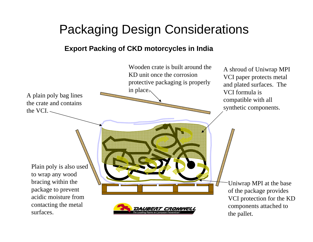#### **Export Packing of CKD motorcycles in India**

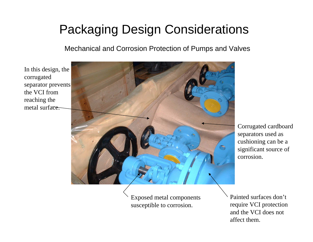Mechanical and Corrosion Protection of Pumps and Valves

In this design, the corrugated separator prevents the VCI from reaching the metal surface.



Corrugated cardboard separators used as cushioning can be a significant source of corrosion.

Exposed metal components susceptible to corrosion.

Painted surfaces don't require VCI protection and the VCI does not affect them.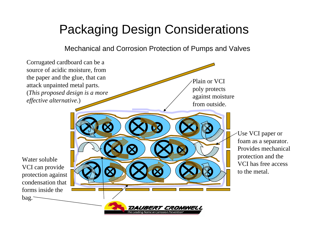Mechanical and Corrosion Protection of Pumps and Valves